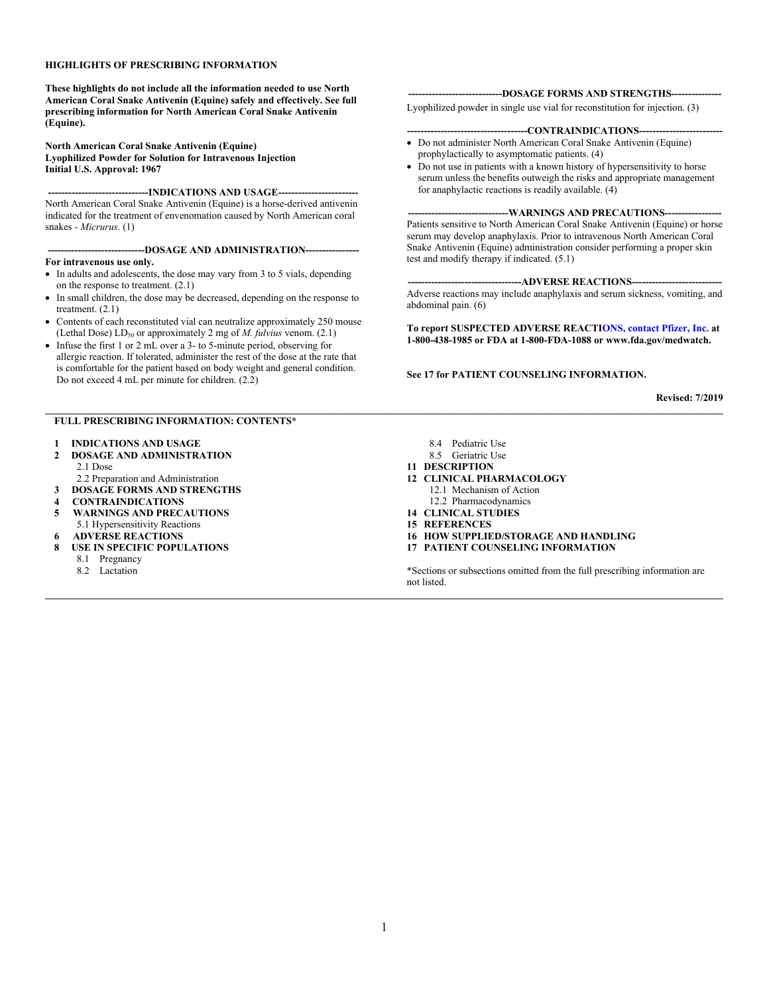#### **HIGHLIGHTS OF PRESCRIBING INFORMATION**

**These highlights do not include all the information needed to use North American Coral Snake Antivenin (Equine) safely and effectively. See full prescribing information for North American Coral Snake Antivenin (Equine).**

#### **North American Coral Snake Antivenin (Equine) Lyophilized Powder for Solution for Intravenous Injection Initial U.S. Approval: 1967**

-INDICATIONS AND USAGE--

North American Coral Snake Antivenin (Equine) is a horse-derived antivenin indicated for the treatment of envenomation caused by North American coral snakes *- Micrurus*. (1)

**-----------------------------DOSAGE AND ADMINISTRATION---------------- For intravenous use only.**

- In adults and adolescents, the dose may vary from 3 to 5 vials, depending on the response to treatment. (2.1)
- In small children, the dose may be decreased, depending on the response to treatment. (2.1)
- Contents of each reconstituted vial can neutralize approximately 250 mouse (Lethal Dose) LD<sub>50</sub> or approximately 2 mg of *M. fulvius venom.* (2.1)
- Infuse the first 1 or 2 mL over a 3- to 5-minute period, observing for allergic reaction. If tolerated, administer the rest of the dose at the rate that is comfortable for the patient based on body weight and general condition. Do not exceed 4 mL per minute for children. (2.2)

#### **FULL PRESCRIBING INFORMATION: CONTENTS\***

- **1 INDICATIONS AND USAGE**
- **2 DOSAGE AND ADMINISTRATION** 2.1 Dose
- 2.2 Preparation and Administration
- **3 DOSAGE FORMS AND STRENGTHS**
- **4 CONTRAINDICATIONS**
- **5 WARNINGS AND PRECAUTIONS** 5.1 Hypersensitivity Reactions
- **6 ADVERSE REACTIONS**
- **8 USE IN SPECIFIC POPULATIONS**
	- 8.1 Pregnancy
	- 8.2 Lactation

#### ---DOSAGE FORMS AND STRENGTHS---

Lyophilized powder in single use vial for reconstitution for injection. (3)

#### ---CONTRAINDICATIONS--

- Do not administer North American Coral Snake Antivenin (Equine) prophylactically to asymptomatic patients. (4)
- Do not use in patients with a known history of hypersensitivity to horse serum unless the benefits outweigh the risks and appropriate management for anaphylactic reactions is readily available. (4)

#### -WARNINGS AND PRECAUTIONS-

Patients sensitive to North American Coral Snake Antivenin (Equine) or horse serum may develop anaphylaxis. Prior to intravenous North American Coral Snake Antivenin (Equine) administration consider performing a proper skin test and modify therapy if indicated. (5.1)

--ADVERSE REACTIONS---Adverse reactions may include anaphylaxis and serum sickness, vomiting, and abdominal pain. (6)

**To report SUSPECTED ADVERSE REACTI[ONS, contact Pfizer, Inc.](http://www.fda.gov/medwatch) at 1-800-438-1985 or FDA at 1-800-FDA-1088 or www.fda.gov/medwatch.**

#### **See 17 for PATIENT COUNSELING INFORMATION.**

**Revised: 7/2019**

- 8.4 Pediatric Use
- 8.5 Geriatric Use
- **11 DESCRIPTION**

 $\mathcal{L} = \{ \mathcal{L} = \{ \mathcal{L} = \{ \mathcal{L} = \{ \mathcal{L} = \{ \mathcal{L} = \{ \mathcal{L} = \{ \mathcal{L} = \{ \mathcal{L} = \{ \mathcal{L} = \{ \mathcal{L} = \{ \mathcal{L} = \{ \mathcal{L} = \{ \mathcal{L} = \{ \mathcal{L} = \{ \mathcal{L} = \{ \mathcal{L} = \{ \mathcal{L} = \{ \mathcal{L} = \{ \mathcal{L} = \{ \mathcal{L} = \{ \mathcal{L} = \{ \mathcal{L} = \{ \mathcal{L} = \{ \mathcal{$ 

**\_\_\_\_\_\_\_\_\_\_\_\_\_\_\_\_\_\_\_\_\_\_\_\_\_\_\_\_\_\_\_\_\_\_\_\_\_\_\_\_\_\_\_\_\_\_\_\_\_\_\_\_\_\_\_\_\_\_\_\_\_\_\_\_\_\_\_\_\_\_\_\_\_\_\_\_\_\_\_\_\_\_\_\_\_\_\_\_\_\_\_\_\_\_\_\_\_\_\_\_\_\_\_\_\_\_\_\_\_\_\_\_\_\_\_\_\_\_\_\_\_\_\_\_\_\_\_\_\_\_\_\_\_\_\_**

- **12 CLINICAL PHARMACOLOGY** 12.1 Mechanism of Action 12.2 Pharmacodynamics
- **14 CLINICAL STUDIES**
- **15 REFERENCES**
- **16 HOW SUPPLIED/STORAGE AND HANDLING**
- **17 PATIENT COUNSELING INFORMATION**

\*Sections or subsections omitted from the full prescribing information are not listed.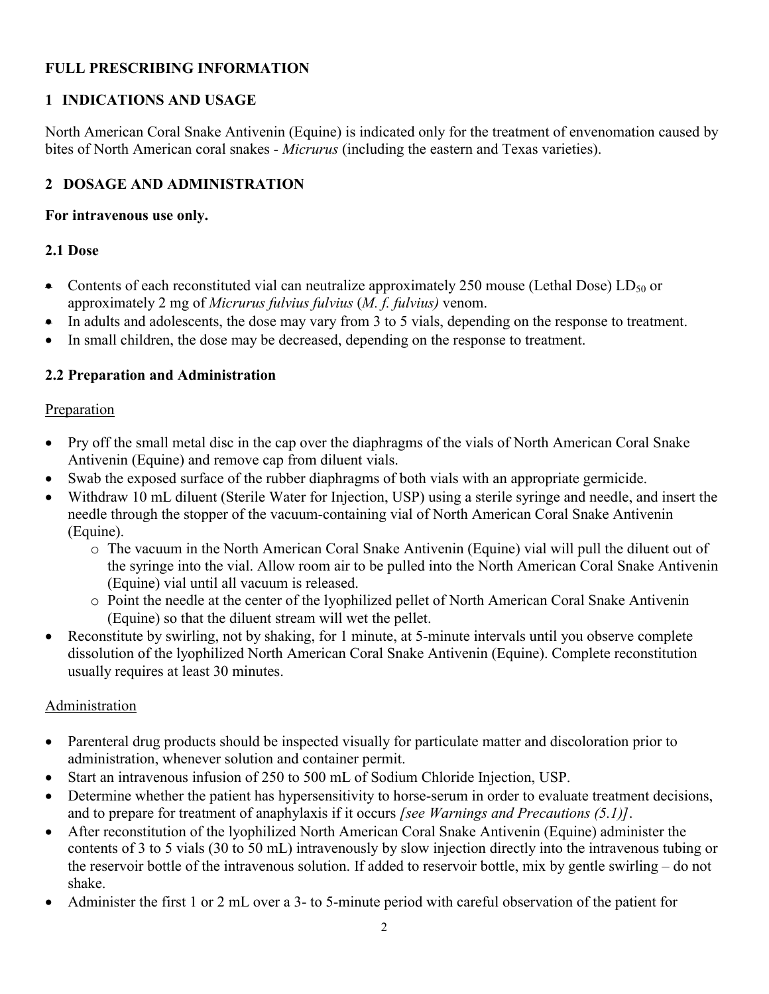# **FULL PRESCRIBING INFORMATION**

# **1 INDICATIONS AND USAGE**

North American Coral Snake Antivenin (Equine) is indicated only for the treatment of envenomation caused by bites of North American coral snakes - *Micrurus* (including the eastern and Texas varieties).

# **2 DOSAGE AND ADMINISTRATION**

### **For intravenous use only.**

## **2.1 Dose**

- Contents of each reconstituted vial can neutralize approximately 250 mouse (Lethal Dose) LD<sub>50</sub> or approximately 2 mg of *Micrurus fulvius fulvius* (*M. f. fulvius)* venom.
- In adults and adolescents, the dose may vary from 3 to 5 vials, depending on the response to treatment.
- In small children, the dose may be decreased, depending on the response to treatment.

## **2.2 Preparation and Administration**

## Preparation

- Pry off the small metal disc in the cap over the diaphragms of the vials of North American Coral Snake Antivenin (Equine) and remove cap from diluent vials.
- Swab the exposed surface of the rubber diaphragms of both vials with an appropriate germicide.
- Withdraw 10 mL diluent (Sterile Water for Injection, USP) using a sterile syringe and needle, and insert the needle through the stopper of the vacuum-containing vial of North American Coral Snake Antivenin (Equine).
	- o The vacuum in the North American Coral Snake Antivenin (Equine) vial will pull the diluent out of the syringe into the vial. Allow room air to be pulled into the North American Coral Snake Antivenin (Equine) vial until all vacuum is released.
	- o Point the needle at the center of the lyophilized pellet of North American Coral Snake Antivenin (Equine) so that the diluent stream will wet the pellet.
- Reconstitute by swirling, not by shaking, for 1 minute, at 5-minute intervals until you observe complete dissolution of the lyophilized North American Coral Snake Antivenin (Equine). Complete reconstitution usually requires at least 30 minutes.

## Administration

- Parenteral drug products should be inspected visually for particulate matter and discoloration prior to administration, whenever solution and container permit.
- Start an intravenous infusion of 250 to 500 mL of Sodium Chloride Injection, USP.
- Determine whether the patient has hypersensitivity to horse-serum in order to evaluate treatment decisions, and to prepare for treatment of anaphylaxis if it occurs *[see Warnings and Precautions (5.1)]*.
- After reconstitution of the lyophilized North American Coral Snake Antivenin (Equine) administer the contents of 3 to 5 vials (30 to 50 mL) intravenously by slow injection directly into the intravenous tubing or the reservoir bottle of the intravenous solution. If added to reservoir bottle, mix by gentle swirling – do not shake.
- Administer the first 1 or 2 mL over a 3- to 5-minute period with careful observation of the patient for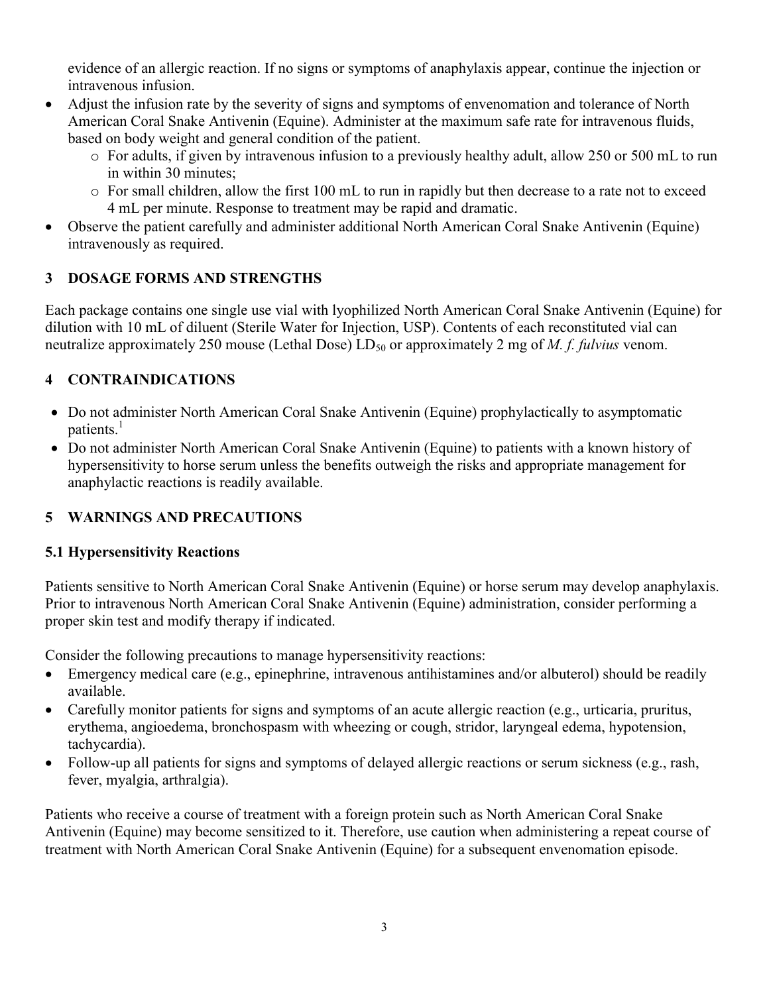evidence of an allergic reaction. If no signs or symptoms of anaphylaxis appear, continue the injection or intravenous infusion.

- Adjust the infusion rate by the severity of signs and symptoms of envenomation and tolerance of North American Coral Snake Antivenin (Equine). Administer at the maximum safe rate for intravenous fluids, based on body weight and general condition of the patient.
	- o For adults, if given by intravenous infusion to a previously healthy adult, allow 250 or 500 mL to run in within 30 minutes;
	- o For small children, allow the first 100 mL to run in rapidly but then decrease to a rate not to exceed 4 mL per minute. Response to treatment may be rapid and dramatic.
- Observe the patient carefully and administer additional North American Coral Snake Antivenin (Equine) intravenously as required.

## **3 DOSAGE FORMS AND STRENGTHS**

Each package contains one single use vial with lyophilized North American Coral Snake Antivenin (Equine) for dilution with 10 mL of diluent (Sterile Water for Injection, USP). Contents of each reconstituted vial can neutralize approximately 250 mouse (Lethal Dose) LD<sub>50</sub> or approximately 2 mg of *M. f. fulvius* venom.

# **4 CONTRAINDICATIONS**

- Do not administer North American Coral Snake Antivenin (Equine) prophylactically to asymptomatic patients.<sup>1</sup>
- Do not administer North American Coral Snake Antivenin (Equine) to patients with a known history of hypersensitivity to horse serum unless the benefits outweigh the risks and appropriate management for anaphylactic reactions is readily available.

# **5 WARNINGS AND PRECAUTIONS**

## **5.1 Hypersensitivity Reactions**

Patients sensitive to North American Coral Snake Antivenin (Equine) or horse serum may develop anaphylaxis. Prior to intravenous North American Coral Snake Antivenin (Equine) administration, consider performing a proper skin test and modify therapy if indicated.

Consider the following precautions to manage hypersensitivity reactions:

- Emergency medical care (e.g., epinephrine, intravenous antihistamines and/or albuterol) should be readily available.
- Carefully monitor patients for signs and symptoms of an acute allergic reaction (e.g., urticaria, pruritus, erythema, angioedema, bronchospasm with wheezing or cough, stridor, laryngeal edema, hypotension, tachycardia).
- Follow-up all patients for signs and symptoms of delayed allergic reactions or serum sickness (e.g., rash, fever, myalgia, arthralgia).

Patients who receive a course of treatment with a foreign protein such as North American Coral Snake Antivenin (Equine) may become sensitized to it. Therefore, use caution when administering a repeat course of treatment with North American Coral Snake Antivenin (Equine) for a subsequent envenomation episode.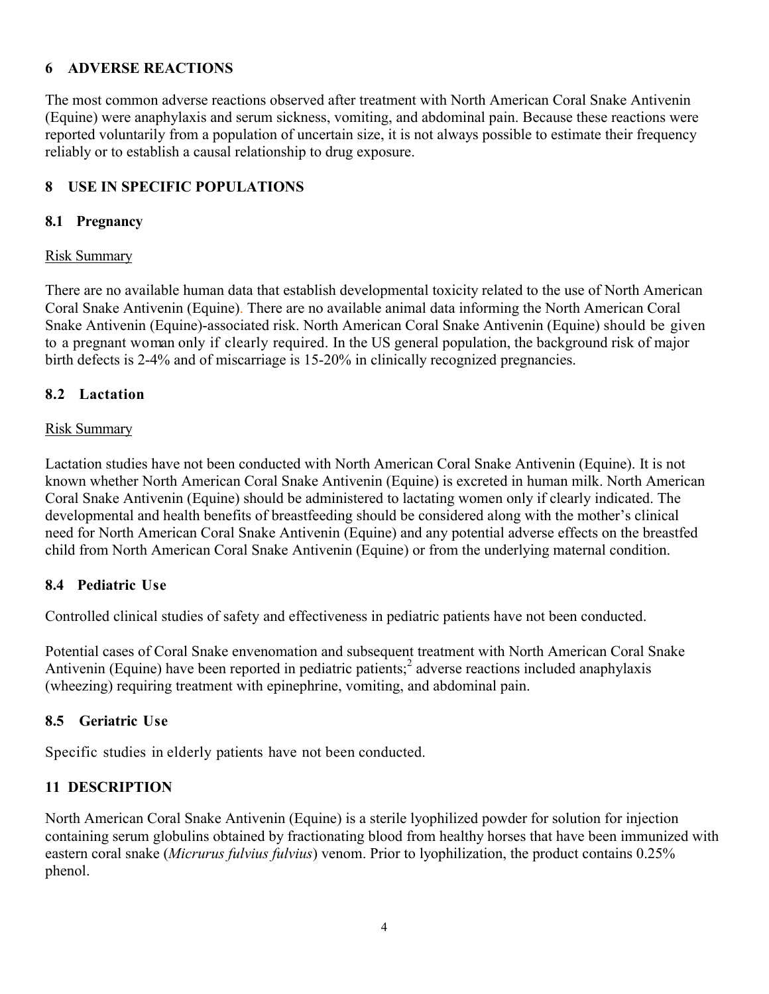## **6 ADVERSE REACTIONS**

The most common adverse reactions observed after treatment with North American Coral Snake Antivenin (Equine) were anaphylaxis and serum sickness, vomiting, and abdominal pain. Because these reactions were reported voluntarily from a population of uncertain size, it is not always possible to estimate their frequency reliably or to establish a causal relationship to drug exposure.

### **8 USE IN SPECIFIC POPULATIONS**

#### **8.1 Pregnancy**

#### Risk Summary

There are no available human data that establish developmental toxicity related to the use of North American Coral Snake Antivenin (Equine). There are no available animal data informing the North American Coral Snake Antivenin (Equine)-associated risk. North American Coral Snake Antivenin (Equine) should be given to a pregnant woman only if clearly required. In the US general population, the background risk of major birth defects is 2-4% and of miscarriage is 15-20% in clinically recognized pregnancies.

### **8.2 Lactation**

#### Risk Summary

Lactation studies have not been conducted with North American Coral Snake Antivenin (Equine). It is not known whether North American Coral Snake Antivenin (Equine) is excreted in human milk. North American Coral Snake Antivenin (Equine) should be administered to lactating women only if clearly indicated. The developmental and health benefits of breastfeeding should be considered along with the mother's clinical need for North American Coral Snake Antivenin (Equine) and any potential adverse effects on the breastfed child from North American Coral Snake Antivenin (Equine) or from the underlying maternal condition.

### **8.4 Pediatric Use**

Controlled clinical studies of safety and effectiveness in pediatric patients have not been conducted.

Potential cases of Coral Snake envenomation and subsequent treatment with North American Coral Snake Antivenin (Equine) have been reported in pediatric patients;<sup>2</sup> adverse reactions included anaphylaxis (wheezing) requiring treatment with epinephrine, vomiting, and abdominal pain.

### **8.5 Geriatric Use**

Specific studies in elderly patients have not been conducted.

### **11 DESCRIPTION**

North American Coral Snake Antivenin (Equine) is a sterile lyophilized powder for solution for injection containing serum globulins obtained by fractionating blood from healthy horses that have been immunized with eastern coral snake (*Micrurus fulvius fulvius*) venom. Prior to lyophilization, the product contains 0.25% phenol.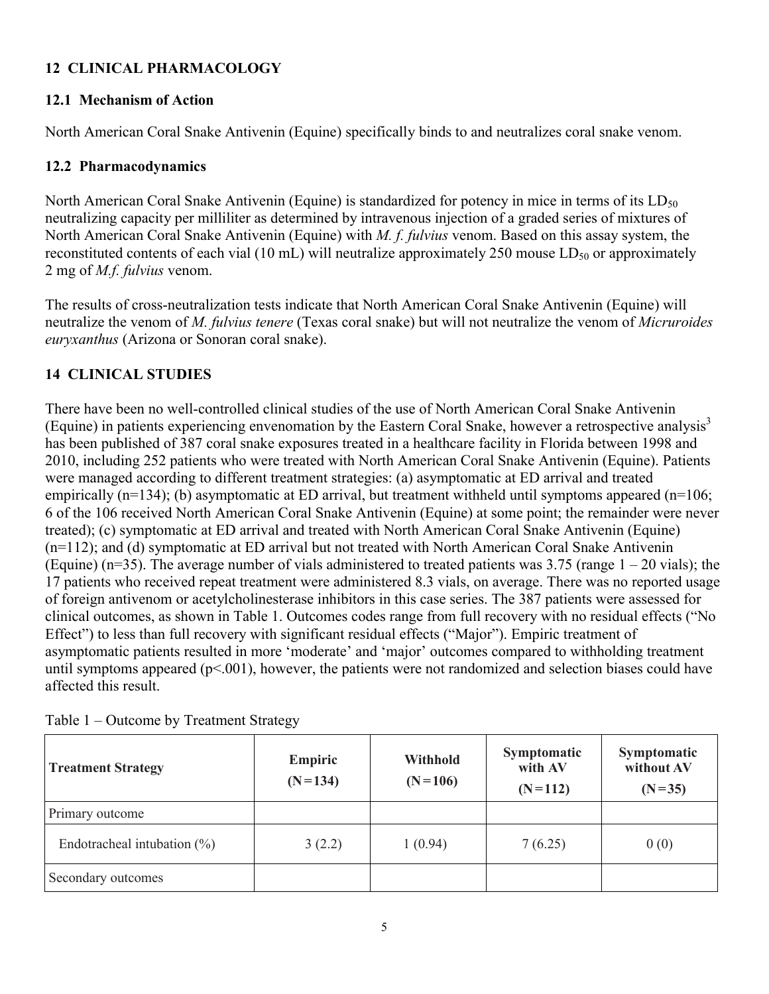## **12 CLINICAL PHARMACOLOGY**

## **12.1 Mechanism of Action**

North American Coral Snake Antivenin (Equine) specifically binds to and neutralizes coral snake venom.

## **12.2 Pharmacodynamics**

North American Coral Snake Antivenin (Equine) is standardized for potency in mice in terms of its  $LD_{50}$ neutralizing capacity per milliliter as determined by intravenous injection of a graded series of mixtures of North American Coral Snake Antivenin (Equine) with *M. f. fulvius* venom. Based on this assay system, the reconstituted contents of each vial (10 mL) will neutralize approximately 250 mouse  $LD_{50}$  or approximately 2 mg of *M.f. fulvius* venom.

The results of cross-neutralization tests indicate that North American Coral Snake Antivenin (Equine) will neutralize the venom of *M. fulvius tenere* (Texas coral snake) but will not neutralize the venom of *Micruroides euryxanthus* (Arizona or Sonoran coral snake).

# **14 CLINICAL STUDIES**

There have been no well-controlled clinical studies of the use of North American Coral Snake Antivenin (Equine) in patients experiencing envenomation by the Eastern Coral Snake, however a retrospective analysis<sup>3</sup> has been published of 387 coral snake exposures treated in a healthcare facility in Florida between 1998 and 2010, including 252 patients who were treated with North American Coral Snake Antivenin (Equine). Patients were managed according to different treatment strategies: (a) asymptomatic at ED arrival and treated empirically  $(n=134)$ ; (b) asymptomatic at ED arrival, but treatment withheld until symptoms appeared  $(n=106)$ ; 6 of the 106 received North American Coral Snake Antivenin (Equine) at some point; the remainder were never treated); (c) symptomatic at ED arrival and treated with North American Coral Snake Antivenin (Equine) (n=112); and (d) symptomatic at ED arrival but not treated with North American Coral Snake Antivenin (Equine) ( $n=35$ ). The average number of vials administered to treated patients was 3.75 (range  $1 - 20$  vials); the 17 patients who received repeat treatment were administered 8.3 vials, on average. There was no reported usage of foreign antivenom or acetylcholinesterase inhibitors in this case series. The 387 patients were assessed for clinical outcomes, as shown in Table 1. Outcomes codes range from full recovery with no residual effects ("No Effect") to less than full recovery with significant residual effects ("Major"). Empiric treatment of asymptomatic patients resulted in more 'moderate' and 'major' outcomes compared to withholding treatment until symptoms appeared  $(p<.001)$ , however, the patients were not randomized and selection biases could have affected this result.

| <b>Treatment Strategy</b>       | Empiric<br>$(N=134)$ | <b>Withhold</b><br>$(N=106)$ | Symptomatic<br>with AV<br>$(N=112)$ | Symptomatic<br>without AV<br>$(N=35)$ |
|---------------------------------|----------------------|------------------------------|-------------------------------------|---------------------------------------|
| Primary outcome                 |                      |                              |                                     |                                       |
| Endotracheal intubation $(\% )$ | 3(2.2)               | 1(0.94)                      | 7(6.25)                             | 0(0)                                  |
| Secondary outcomes              |                      |                              |                                     |                                       |

Table 1 – Outcome by Treatment Strategy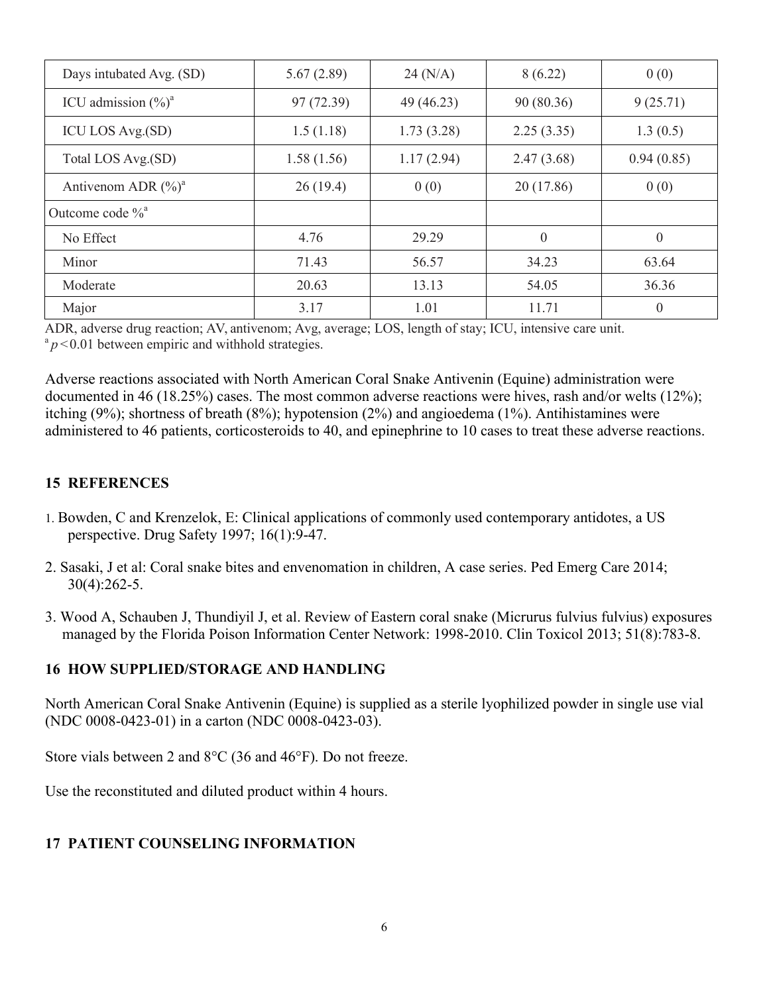| Days intubated Avg. (SD)        | 5.67(2.89) | 24 (N/A)   | 8(6.22)        | 0(0)             |
|---------------------------------|------------|------------|----------------|------------------|
| ICU admission $(\frac{9}{6})^a$ | 97(72.39)  | 49 (46.23) | 90 (80.36)     | 9(25.71)         |
| ICU LOS Avg.(SD)                | 1.5(1.18)  | 1.73(3.28) | 2.25(3.35)     | 1.3(0.5)         |
| Total LOS Avg.(SD)              | 1.58(1.56) | 1.17(2.94) | 2.47(3.68)     | 0.94(0.85)       |
| Antivenom ADR $(\%)^a$          | 26(19.4)   | 0(0)       | 20(17.86)      | 0(0)             |
| Outcome code $\%$ <sup>a</sup>  |            |            |                |                  |
| No Effect                       | 4.76       | 29.29      | $\overline{0}$ | $\mathbf{0}$     |
| Minor                           | 71.43      | 56.57      | 34.23          | 63.64            |
| Moderate                        | 20.63      | 13.13      | 54.05          | 36.36            |
| Major                           | 3.17       | 1.01       | 11.71          | $\boldsymbol{0}$ |

ADR, adverse drug reaction; AV, antivenom; Avg, average; LOS, length of stay; ICU, intensive care unit.  $a_p$  < 0.01 between empiric and withhold strategies.

Adverse reactions associated with North American Coral Snake Antivenin (Equine) administration were documented in 46 (18.25%) cases. The most common adverse reactions were hives, rash and/or welts (12%); itching (9%); shortness of breath (8%); hypotension (2%) and angioedema (1%). Antihistamines were administered to 46 patients, corticosteroids to 40, and epinephrine to 10 cases to treat these adverse reactions.

## **15 REFERENCES**

- 1. Bowden, C and Krenzelok, E: Clinical applications of commonly used contemporary antidotes, a US perspective. Drug Safety 1997; 16(1):9-47.
- 2. Sasaki, J et al: Coral snake bites and envenomation in children, A case series. Ped Emerg Care 2014; 30(4):262-5.
- 3. Wood A, Schauben J, Thundiyil J, et al. Review of Eastern coral snake (Micrurus fulvius fulvius) exposures managed by the Florida Poison Information Center Network: 1998-2010. Clin Toxicol 2013; 51(8):783-8.

### **16 HOW SUPPLIED/STORAGE AND HANDLING**

North American Coral Snake Antivenin (Equine) is supplied as a sterile lyophilized powder in single use vial (NDC 0008-0423-01) in a carton (NDC 0008-0423-03).

Store vials between 2 and  $8^{\circ}$ C (36 and 46 $^{\circ}$ F). Do not freeze.

Use the reconstituted and diluted product within 4 hours.

## **17 PATIENT COUNSELING INFORMATION**